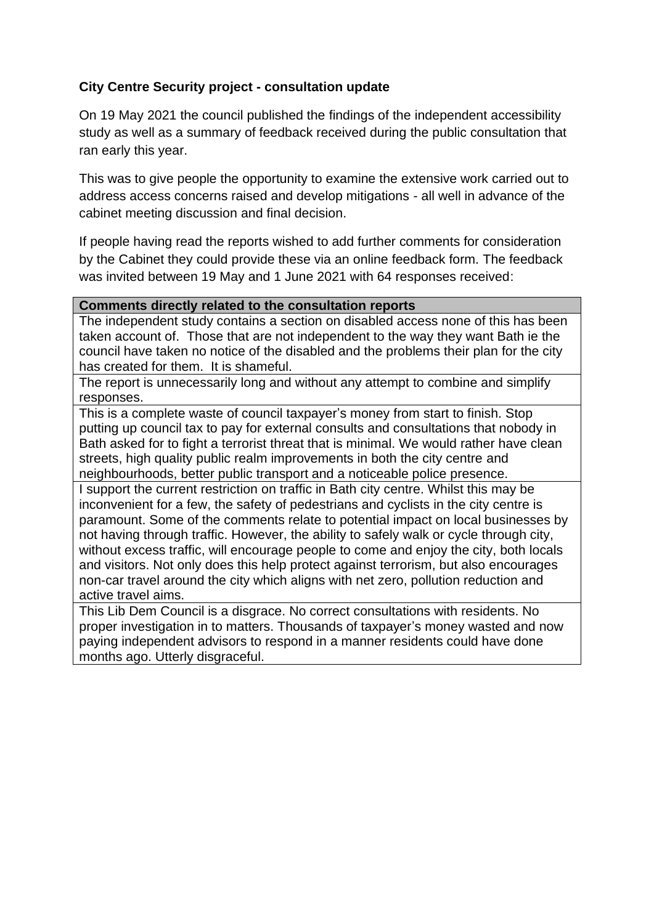## **City Centre Security project - consultation update**

On 19 May 2021 the council published the findings of the independent accessibility study as well as a summary of feedback received during the public consultation that ran early this year.

This was to give people the opportunity to examine the extensive work carried out to address access concerns raised and develop mitigations - all well in advance of the cabinet meeting discussion and final decision.

If people having read the reports wished to add further comments for consideration by the Cabinet they could provide these via an online feedback form. The feedback was invited between 19 May and 1 June 2021 with 64 responses received:

## **Comments directly related to the consultation reports**

The independent study contains a section on disabled access none of this has been taken account of. Those that are not independent to the way they want Bath ie the council have taken no notice of the disabled and the problems their plan for the city has created for them. It is shameful.

The report is unnecessarily long and without any attempt to combine and simplify responses.

This is a complete waste of council taxpayer's money from start to finish. Stop putting up council tax to pay for external consults and consultations that nobody in Bath asked for to fight a terrorist threat that is minimal. We would rather have clean streets, high quality public realm improvements in both the city centre and neighbourhoods, better public transport and a noticeable police presence.

I support the current restriction on traffic in Bath city centre. Whilst this may be inconvenient for a few, the safety of pedestrians and cyclists in the city centre is paramount. Some of the comments relate to potential impact on local businesses by not having through traffic. However, the ability to safely walk or cycle through city, without excess traffic, will encourage people to come and enjoy the city, both locals and visitors. Not only does this help protect against terrorism, but also encourages non-car travel around the city which aligns with net zero, pollution reduction and active travel aims.

This Lib Dem Council is a disgrace. No correct consultations with residents. No proper investigation in to matters. Thousands of taxpayer's money wasted and now paying independent advisors to respond in a manner residents could have done months ago. Utterly disgraceful.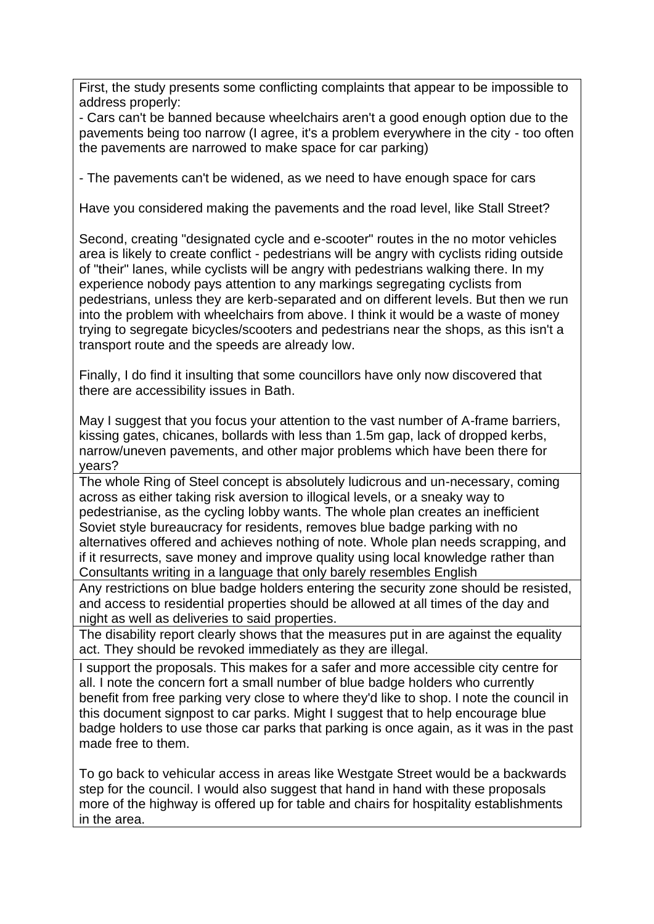First, the study presents some conflicting complaints that appear to be impossible to address properly:

- Cars can't be banned because wheelchairs aren't a good enough option due to the pavements being too narrow (I agree, it's a problem everywhere in the city - too often the pavements are narrowed to make space for car parking)

- The pavements can't be widened, as we need to have enough space for cars

Have you considered making the pavements and the road level, like Stall Street?

Second, creating "designated cycle and e-scooter" routes in the no motor vehicles area is likely to create conflict - pedestrians will be angry with cyclists riding outside of "their" lanes, while cyclists will be angry with pedestrians walking there. In my experience nobody pays attention to any markings segregating cyclists from pedestrians, unless they are kerb-separated and on different levels. But then we run into the problem with wheelchairs from above. I think it would be a waste of money trying to segregate bicycles/scooters and pedestrians near the shops, as this isn't a transport route and the speeds are already low.

Finally, I do find it insulting that some councillors have only now discovered that there are accessibility issues in Bath.

May I suggest that you focus your attention to the vast number of A-frame barriers, kissing gates, chicanes, bollards with less than 1.5m gap, lack of dropped kerbs, narrow/uneven pavements, and other major problems which have been there for years?

The whole Ring of Steel concept is absolutely ludicrous and un-necessary, coming across as either taking risk aversion to illogical levels, or a sneaky way to pedestrianise, as the cycling lobby wants. The whole plan creates an inefficient Soviet style bureaucracy for residents, removes blue badge parking with no alternatives offered and achieves nothing of note. Whole plan needs scrapping, and if it resurrects, save money and improve quality using local knowledge rather than Consultants writing in a language that only barely resembles English

Any restrictions on blue badge holders entering the security zone should be resisted, and access to residential properties should be allowed at all times of the day and night as well as deliveries to said properties.

The disability report clearly shows that the measures put in are against the equality act. They should be revoked immediately as they are illegal.

I support the proposals. This makes for a safer and more accessible city centre for all. I note the concern fort a small number of blue badge holders who currently benefit from free parking very close to where they'd like to shop. I note the council in this document signpost to car parks. Might I suggest that to help encourage blue badge holders to use those car parks that parking is once again, as it was in the past made free to them.

To go back to vehicular access in areas like Westgate Street would be a backwards step for the council. I would also suggest that hand in hand with these proposals more of the highway is offered up for table and chairs for hospitality establishments in the area.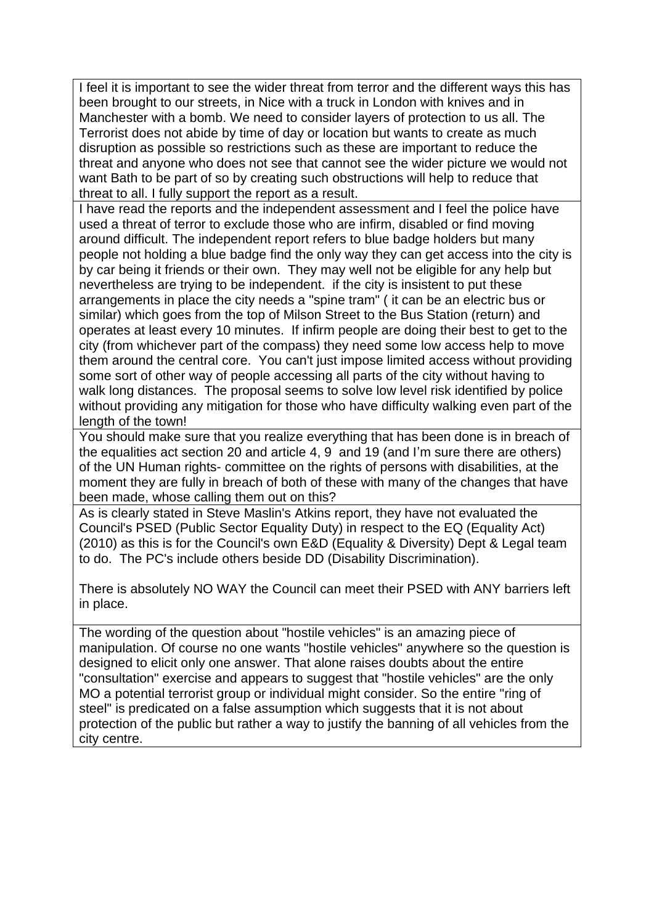I feel it is important to see the wider threat from terror and the different ways this has been brought to our streets, in Nice with a truck in London with knives and in Manchester with a bomb. We need to consider layers of protection to us all. The Terrorist does not abide by time of day or location but wants to create as much disruption as possible so restrictions such as these are important to reduce the threat and anyone who does not see that cannot see the wider picture we would not want Bath to be part of so by creating such obstructions will help to reduce that threat to all. I fully support the report as a result.

I have read the reports and the independent assessment and I feel the police have used a threat of terror to exclude those who are infirm, disabled or find moving around difficult. The independent report refers to blue badge holders but many people not holding a blue badge find the only way they can get access into the city is by car being it friends or their own. They may well not be eligible for any help but nevertheless are trying to be independent. if the city is insistent to put these arrangements in place the city needs a "spine tram" ( it can be an electric bus or similar) which goes from the top of Milson Street to the Bus Station (return) and operates at least every 10 minutes. If infirm people are doing their best to get to the city (from whichever part of the compass) they need some low access help to move them around the central core. You can't just impose limited access without providing some sort of other way of people accessing all parts of the city without having to walk long distances. The proposal seems to solve low level risk identified by police without providing any mitigation for those who have difficulty walking even part of the length of the town!

You should make sure that you realize everything that has been done is in breach of the equalities act section 20 and article 4, 9 and 19 (and I'm sure there are others) of the UN Human rights- committee on the rights of persons with disabilities, at the moment they are fully in breach of both of these with many of the changes that have been made, whose calling them out on this?

As is clearly stated in Steve Maslin's Atkins report, they have not evaluated the Council's PSED (Public Sector Equality Duty) in respect to the EQ (Equality Act) (2010) as this is for the Council's own E&D (Equality & Diversity) Dept & Legal team to do. The PC's include others beside DD (Disability Discrimination).

There is absolutely NO WAY the Council can meet their PSED with ANY barriers left in place.

The wording of the question about "hostile vehicles" is an amazing piece of manipulation. Of course no one wants "hostile vehicles" anywhere so the question is designed to elicit only one answer. That alone raises doubts about the entire "consultation" exercise and appears to suggest that "hostile vehicles" are the only MO a potential terrorist group or individual might consider. So the entire "ring of steel" is predicated on a false assumption which suggests that it is not about protection of the public but rather a way to justify the banning of all vehicles from the city centre.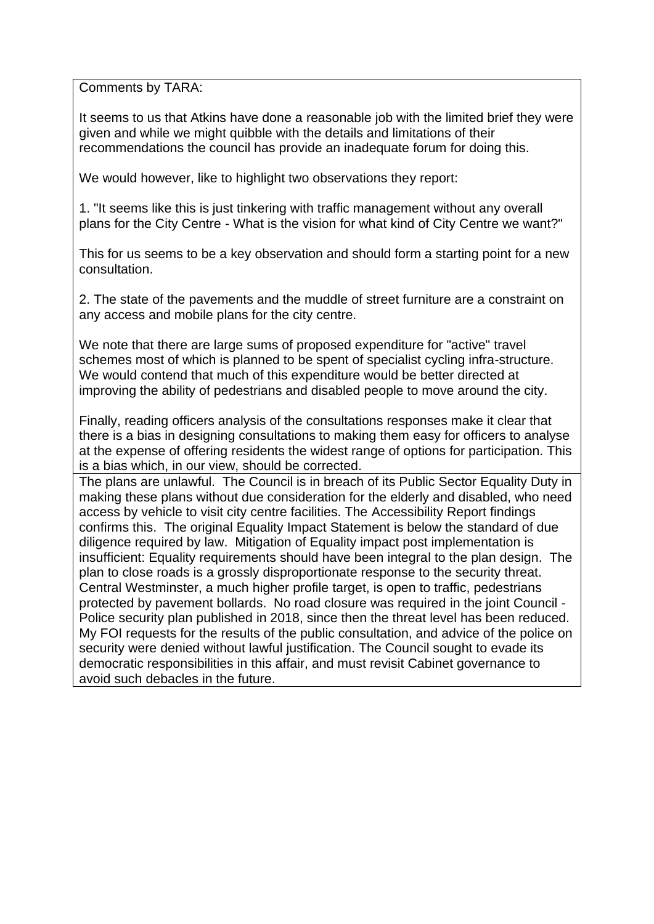Comments by TARA:

It seems to us that Atkins have done a reasonable job with the limited brief they were given and while we might quibble with the details and limitations of their recommendations the council has provide an inadequate forum for doing this.

We would however, like to highlight two observations they report:

1. "It seems like this is just tinkering with traffic management without any overall plans for the City Centre - What is the vision for what kind of City Centre we want?"

This for us seems to be a key observation and should form a starting point for a new consultation.

2. The state of the pavements and the muddle of street furniture are a constraint on any access and mobile plans for the city centre.

We note that there are large sums of proposed expenditure for "active" travel schemes most of which is planned to be spent of specialist cycling infra-structure. We would contend that much of this expenditure would be better directed at improving the ability of pedestrians and disabled people to move around the city.

Finally, reading officers analysis of the consultations responses make it clear that there is a bias in designing consultations to making them easy for officers to analyse at the expense of offering residents the widest range of options for participation. This is a bias which, in our view, should be corrected.

The plans are unlawful. The Council is in breach of its Public Sector Equality Duty in making these plans without due consideration for the elderly and disabled, who need access by vehicle to visit city centre facilities. The Accessibility Report findings confirms this. The original Equality Impact Statement is below the standard of due diligence required by law. Mitigation of Equality impact post implementation is insufficient: Equality requirements should have been integral to the plan design. The plan to close roads is a grossly disproportionate response to the security threat. Central Westminster, a much higher profile target, is open to traffic, pedestrians protected by pavement bollards. No road closure was required in the joint Council - Police security plan published in 2018, since then the threat level has been reduced. My FOI requests for the results of the public consultation, and advice of the police on security were denied without lawful justification. The Council sought to evade its democratic responsibilities in this affair, and must revisit Cabinet governance to avoid such debacles in the future.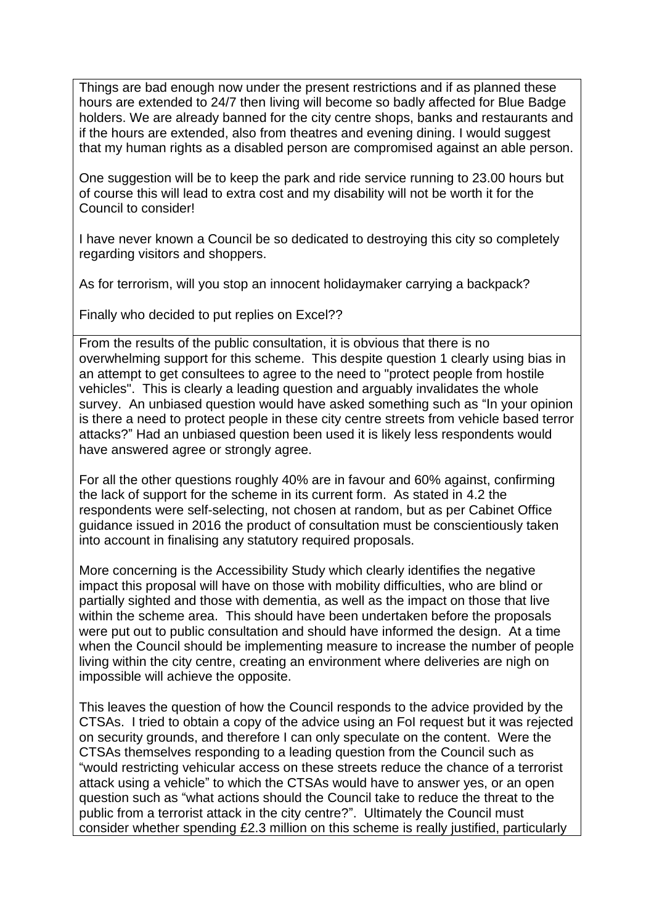Things are bad enough now under the present restrictions and if as planned these hours are extended to 24/7 then living will become so badly affected for Blue Badge holders. We are already banned for the city centre shops, banks and restaurants and if the hours are extended, also from theatres and evening dining. I would suggest that my human rights as a disabled person are compromised against an able person.

One suggestion will be to keep the park and ride service running to 23.00 hours but of course this will lead to extra cost and my disability will not be worth it for the Council to consider!

I have never known a Council be so dedicated to destroying this city so completely regarding visitors and shoppers.

As for terrorism, will you stop an innocent holidaymaker carrying a backpack?

Finally who decided to put replies on Excel??

From the results of the public consultation, it is obvious that there is no overwhelming support for this scheme. This despite question 1 clearly using bias in an attempt to get consultees to agree to the need to "protect people from hostile vehicles". This is clearly a leading question and arguably invalidates the whole survey. An unbiased question would have asked something such as "In your opinion is there a need to protect people in these city centre streets from vehicle based terror attacks?" Had an unbiased question been used it is likely less respondents would have answered agree or strongly agree.

For all the other questions roughly 40% are in favour and 60% against, confirming the lack of support for the scheme in its current form. As stated in 4.2 the respondents were self-selecting, not chosen at random, but as per Cabinet Office guidance issued in 2016 the product of consultation must be conscientiously taken into account in finalising any statutory required proposals.

More concerning is the Accessibility Study which clearly identifies the negative impact this proposal will have on those with mobility difficulties, who are blind or partially sighted and those with dementia, as well as the impact on those that live within the scheme area. This should have been undertaken before the proposals were put out to public consultation and should have informed the design. At a time when the Council should be implementing measure to increase the number of people living within the city centre, creating an environment where deliveries are nigh on impossible will achieve the opposite.

This leaves the question of how the Council responds to the advice provided by the CTSAs. I tried to obtain a copy of the advice using an FoI request but it was rejected on security grounds, and therefore I can only speculate on the content. Were the CTSAs themselves responding to a leading question from the Council such as "would restricting vehicular access on these streets reduce the chance of a terrorist attack using a vehicle" to which the CTSAs would have to answer yes, or an open question such as "what actions should the Council take to reduce the threat to the public from a terrorist attack in the city centre?". Ultimately the Council must consider whether spending £2.3 million on this scheme is really justified, particularly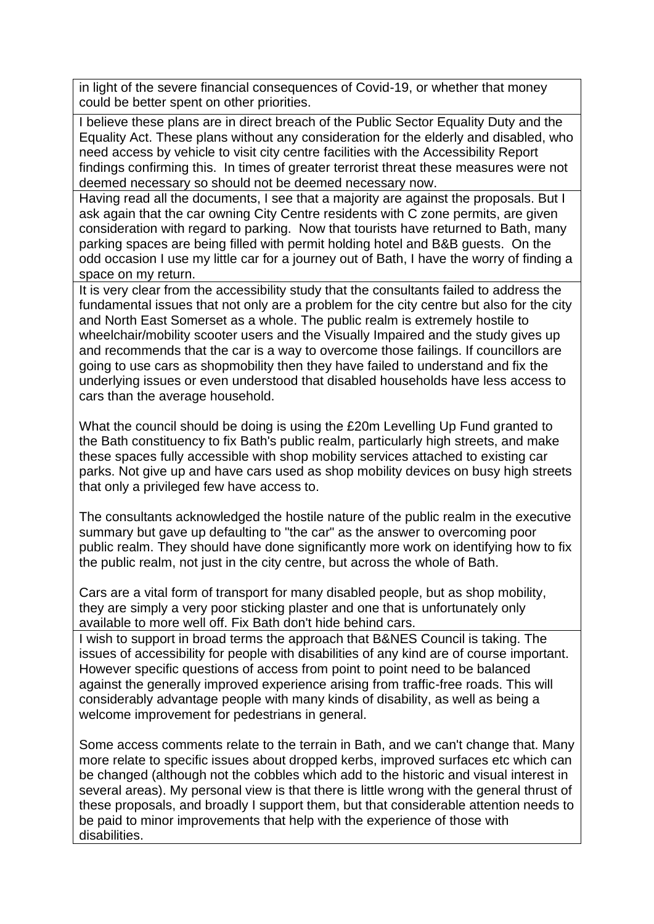in light of the severe financial consequences of Covid-19, or whether that money could be better spent on other priorities.

I believe these plans are in direct breach of the Public Sector Equality Duty and the Equality Act. These plans without any consideration for the elderly and disabled, who need access by vehicle to visit city centre facilities with the Accessibility Report findings confirming this. In times of greater terrorist threat these measures were not deemed necessary so should not be deemed necessary now.

Having read all the documents, I see that a majority are against the proposals. But I ask again that the car owning City Centre residents with C zone permits, are given consideration with regard to parking. Now that tourists have returned to Bath, many parking spaces are being filled with permit holding hotel and B&B guests. On the odd occasion I use my little car for a journey out of Bath, I have the worry of finding a space on my return.

It is very clear from the accessibility study that the consultants failed to address the fundamental issues that not only are a problem for the city centre but also for the city and North East Somerset as a whole. The public realm is extremely hostile to wheelchair/mobility scooter users and the Visually Impaired and the study gives up and recommends that the car is a way to overcome those failings. If councillors are going to use cars as shopmobility then they have failed to understand and fix the underlying issues or even understood that disabled households have less access to cars than the average household.

What the council should be doing is using the £20m Levelling Up Fund granted to the Bath constituency to fix Bath's public realm, particularly high streets, and make these spaces fully accessible with shop mobility services attached to existing car parks. Not give up and have cars used as shop mobility devices on busy high streets that only a privileged few have access to.

The consultants acknowledged the hostile nature of the public realm in the executive summary but gave up defaulting to "the car" as the answer to overcoming poor public realm. They should have done significantly more work on identifying how to fix the public realm, not just in the city centre, but across the whole of Bath.

Cars are a vital form of transport for many disabled people, but as shop mobility, they are simply a very poor sticking plaster and one that is unfortunately only available to more well off. Fix Bath don't hide behind cars.

I wish to support in broad terms the approach that B&NES Council is taking. The issues of accessibility for people with disabilities of any kind are of course important. However specific questions of access from point to point need to be balanced against the generally improved experience arising from traffic-free roads. This will considerably advantage people with many kinds of disability, as well as being a welcome improvement for pedestrians in general.

Some access comments relate to the terrain in Bath, and we can't change that. Many more relate to specific issues about dropped kerbs, improved surfaces etc which can be changed (although not the cobbles which add to the historic and visual interest in several areas). My personal view is that there is little wrong with the general thrust of these proposals, and broadly I support them, but that considerable attention needs to be paid to minor improvements that help with the experience of those with disabilities.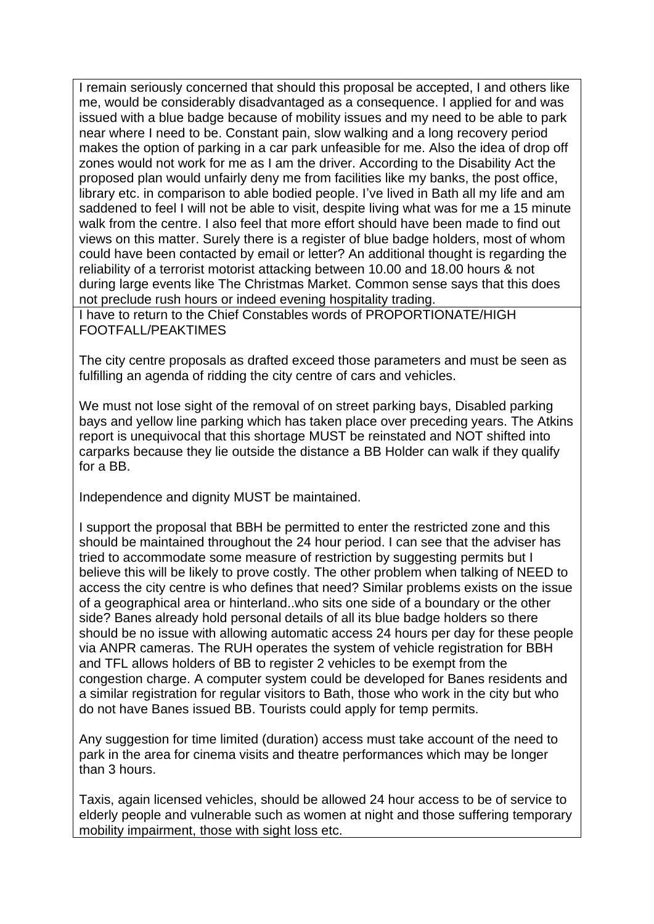I remain seriously concerned that should this proposal be accepted, I and others like me, would be considerably disadvantaged as a consequence. I applied for and was issued with a blue badge because of mobility issues and my need to be able to park near where I need to be. Constant pain, slow walking and a long recovery period makes the option of parking in a car park unfeasible for me. Also the idea of drop off zones would not work for me as I am the driver. According to the Disability Act the proposed plan would unfairly deny me from facilities like my banks, the post office, library etc. in comparison to able bodied people. I've lived in Bath all my life and am saddened to feel I will not be able to visit, despite living what was for me a 15 minute walk from the centre. I also feel that more effort should have been made to find out views on this matter. Surely there is a register of blue badge holders, most of whom could have been contacted by email or letter? An additional thought is regarding the reliability of a terrorist motorist attacking between 10.00 and 18.00 hours & not during large events like The Christmas Market. Common sense says that this does not preclude rush hours or indeed evening hospitality trading.

I have to return to the Chief Constables words of PROPORTIONATE/HIGH FOOTFALL/PEAKTIMES

The city centre proposals as drafted exceed those parameters and must be seen as fulfilling an agenda of ridding the city centre of cars and vehicles.

We must not lose sight of the removal of on street parking bays, Disabled parking bays and yellow line parking which has taken place over preceding years. The Atkins report is unequivocal that this shortage MUST be reinstated and NOT shifted into carparks because they lie outside the distance a BB Holder can walk if they qualify for a BB.

Independence and dignity MUST be maintained.

I support the proposal that BBH be permitted to enter the restricted zone and this should be maintained throughout the 24 hour period. I can see that the adviser has tried to accommodate some measure of restriction by suggesting permits but I believe this will be likely to prove costly. The other problem when talking of NEED to access the city centre is who defines that need? Similar problems exists on the issue of a geographical area or hinterland..who sits one side of a boundary or the other side? Banes already hold personal details of all its blue badge holders so there should be no issue with allowing automatic access 24 hours per day for these people via ANPR cameras. The RUH operates the system of vehicle registration for BBH and TFL allows holders of BB to register 2 vehicles to be exempt from the congestion charge. A computer system could be developed for Banes residents and a similar registration for regular visitors to Bath, those who work in the city but who do not have Banes issued BB. Tourists could apply for temp permits.

Any suggestion for time limited (duration) access must take account of the need to park in the area for cinema visits and theatre performances which may be longer than 3 hours.

Taxis, again licensed vehicles, should be allowed 24 hour access to be of service to elderly people and vulnerable such as women at night and those suffering temporary mobility impairment, those with sight loss etc.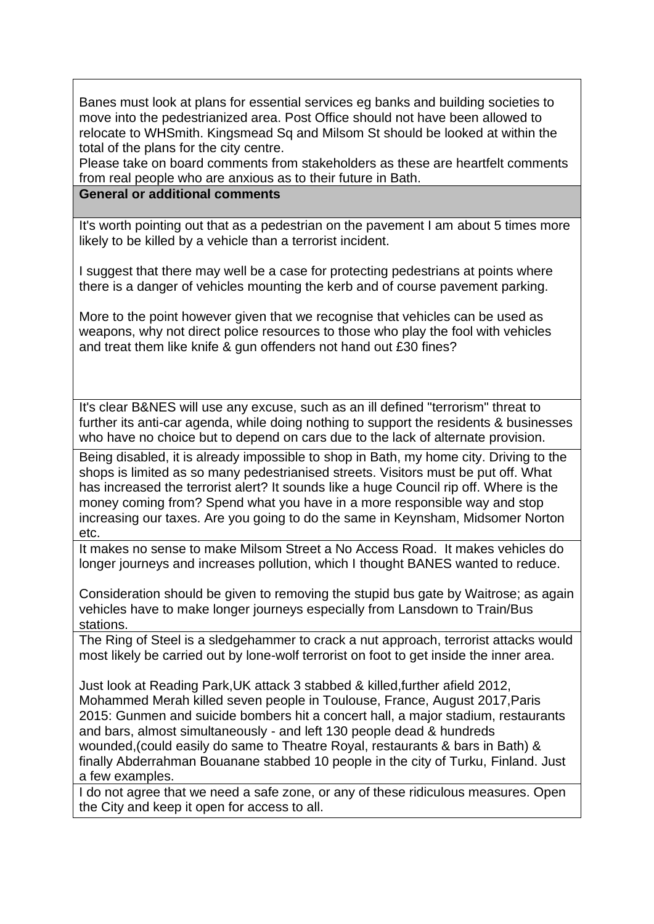Banes must look at plans for essential services eg banks and building societies to move into the pedestrianized area. Post Office should not have been allowed to relocate to WHSmith. Kingsmead Sq and Milsom St should be looked at within the total of the plans for the city centre.

Please take on board comments from stakeholders as these are heartfelt comments from real people who are anxious as to their future in Bath.

## **General or additional comments**

It's worth pointing out that as a pedestrian on the pavement I am about 5 times more likely to be killed by a vehicle than a terrorist incident.

I suggest that there may well be a case for protecting pedestrians at points where there is a danger of vehicles mounting the kerb and of course pavement parking.

More to the point however given that we recognise that vehicles can be used as weapons, why not direct police resources to those who play the fool with vehicles and treat them like knife & gun offenders not hand out £30 fines?

It's clear B&NES will use any excuse, such as an ill defined "terrorism" threat to further its anti-car agenda, while doing nothing to support the residents & businesses who have no choice but to depend on cars due to the lack of alternate provision.

Being disabled, it is already impossible to shop in Bath, my home city. Driving to the shops is limited as so many pedestrianised streets. Visitors must be put off. What has increased the terrorist alert? It sounds like a huge Council rip off. Where is the money coming from? Spend what you have in a more responsible way and stop increasing our taxes. Are you going to do the same in Keynsham, Midsomer Norton etc.

It makes no sense to make Milsom Street a No Access Road. It makes vehicles do longer journeys and increases pollution, which I thought BANES wanted to reduce.

Consideration should be given to removing the stupid bus gate by Waitrose; as again vehicles have to make longer journeys especially from Lansdown to Train/Bus stations.

The Ring of Steel is a sledgehammer to crack a nut approach, terrorist attacks would most likely be carried out by lone-wolf terrorist on foot to get inside the inner area.

Just look at Reading Park,UK attack 3 stabbed & killed,further afield 2012, Mohammed Merah killed seven people in Toulouse, France, August 2017,Paris 2015: Gunmen and suicide bombers hit a concert hall, a major stadium, restaurants and bars, almost simultaneously - and left 130 people dead & hundreds wounded,(could easily do same to Theatre Royal, restaurants & bars in Bath) & finally Abderrahman Bouanane stabbed 10 people in the city of Turku, Finland. Just a few examples.

I do not agree that we need a safe zone, or any of these ridiculous measures. Open the City and keep it open for access to all.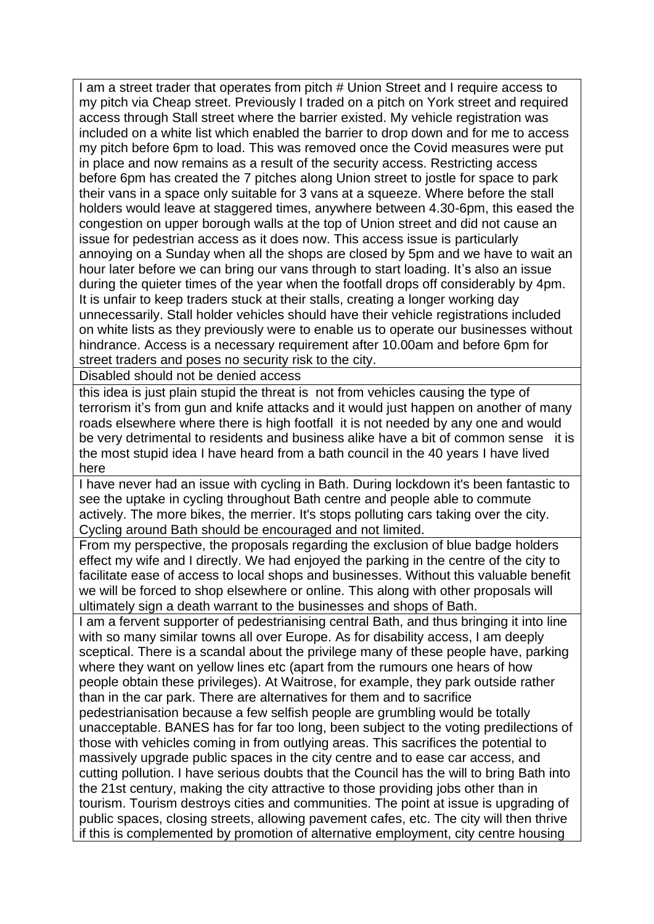I am a street trader that operates from pitch # Union Street and I require access to my pitch via Cheap street. Previously I traded on a pitch on York street and required access through Stall street where the barrier existed. My vehicle registration was included on a white list which enabled the barrier to drop down and for me to access my pitch before 6pm to load. This was removed once the Covid measures were put in place and now remains as a result of the security access. Restricting access before 6pm has created the 7 pitches along Union street to jostle for space to park their vans in a space only suitable for 3 vans at a squeeze. Where before the stall holders would leave at staggered times, anywhere between 4.30-6pm, this eased the congestion on upper borough walls at the top of Union street and did not cause an issue for pedestrian access as it does now. This access issue is particularly annoying on a Sunday when all the shops are closed by 5pm and we have to wait an hour later before we can bring our vans through to start loading. It's also an issue during the quieter times of the year when the footfall drops off considerably by 4pm. It is unfair to keep traders stuck at their stalls, creating a longer working day unnecessarily. Stall holder vehicles should have their vehicle registrations included on white lists as they previously were to enable us to operate our businesses without hindrance. Access is a necessary requirement after 10.00am and before 6pm for street traders and poses no security risk to the city.

Disabled should not be denied access

this idea is just plain stupid the threat is not from vehicles causing the type of terrorism it's from gun and knife attacks and it would just happen on another of many roads elsewhere where there is high footfall it is not needed by any one and would be very detrimental to residents and business alike have a bit of common sense it is the most stupid idea I have heard from a bath council in the 40 years I have lived here

I have never had an issue with cycling in Bath. During lockdown it's been fantastic to see the uptake in cycling throughout Bath centre and people able to commute actively. The more bikes, the merrier. It's stops polluting cars taking over the city. Cycling around Bath should be encouraged and not limited.

From my perspective, the proposals regarding the exclusion of blue badge holders effect my wife and I directly. We had enjoyed the parking in the centre of the city to facilitate ease of access to local shops and businesses. Without this valuable benefit we will be forced to shop elsewhere or online. This along with other proposals will ultimately sign a death warrant to the businesses and shops of Bath.

I am a fervent supporter of pedestrianising central Bath, and thus bringing it into line with so many similar towns all over Europe. As for disability access, I am deeply sceptical. There is a scandal about the privilege many of these people have, parking where they want on yellow lines etc (apart from the rumours one hears of how people obtain these privileges). At Waitrose, for example, they park outside rather than in the car park. There are alternatives for them and to sacrifice pedestrianisation because a few selfish people are grumbling would be totally unacceptable. BANES has for far too long, been subject to the voting predilections of those with vehicles coming in from outlying areas. This sacrifices the potential to massively upgrade public spaces in the city centre and to ease car access, and cutting pollution. I have serious doubts that the Council has the will to bring Bath into the 21st century, making the city attractive to those providing jobs other than in tourism. Tourism destroys cities and communities. The point at issue is upgrading of public spaces, closing streets, allowing pavement cafes, etc. The city will then thrive if this is complemented by promotion of alternative employment, city centre housing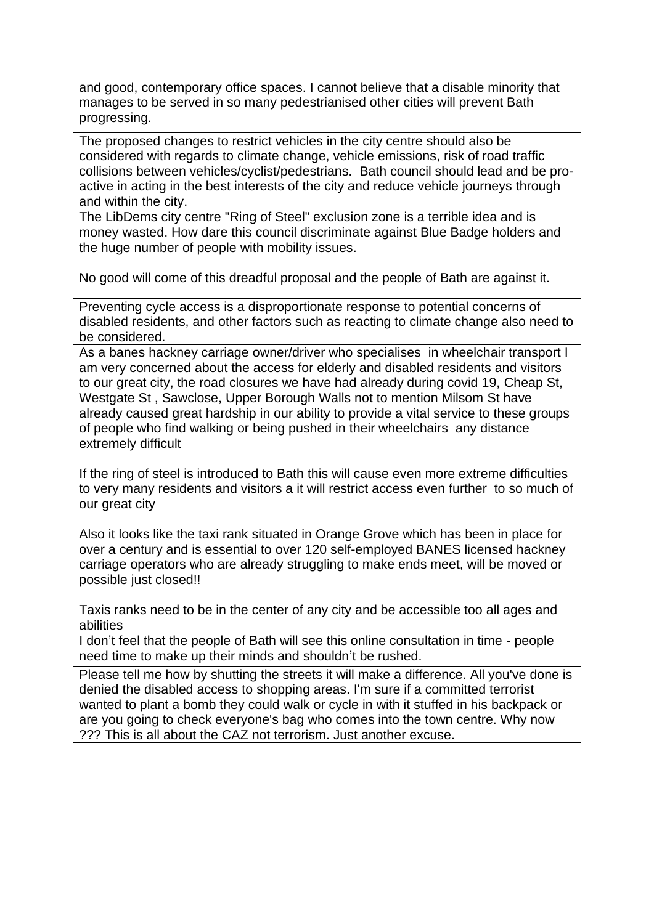and good, contemporary office spaces. I cannot believe that a disable minority that manages to be served in so many pedestrianised other cities will prevent Bath progressing.

The proposed changes to restrict vehicles in the city centre should also be considered with regards to climate change, vehicle emissions, risk of road traffic collisions between vehicles/cyclist/pedestrians. Bath council should lead and be proactive in acting in the best interests of the city and reduce vehicle journeys through and within the city.

The LibDems city centre "Ring of Steel" exclusion zone is a terrible idea and is money wasted. How dare this council discriminate against Blue Badge holders and the huge number of people with mobility issues.

No good will come of this dreadful proposal and the people of Bath are against it.

Preventing cycle access is a disproportionate response to potential concerns of disabled residents, and other factors such as reacting to climate change also need to be considered.

As a banes hackney carriage owner/driver who specialises in wheelchair transport I am very concerned about the access for elderly and disabled residents and visitors to our great city, the road closures we have had already during covid 19, Cheap St, Westgate St , Sawclose, Upper Borough Walls not to mention Milsom St have already caused great hardship in our ability to provide a vital service to these groups of people who find walking or being pushed in their wheelchairs any distance extremely difficult

If the ring of steel is introduced to Bath this will cause even more extreme difficulties to very many residents and visitors a it will restrict access even further to so much of our great city

Also it looks like the taxi rank situated in Orange Grove which has been in place for over a century and is essential to over 120 self-employed BANES licensed hackney carriage operators who are already struggling to make ends meet, will be moved or possible just closed!!

Taxis ranks need to be in the center of any city and be accessible too all ages and abilities

I don't feel that the people of Bath will see this online consultation in time - people need time to make up their minds and shouldn't be rushed.

Please tell me how by shutting the streets it will make a difference. All you've done is denied the disabled access to shopping areas. I'm sure if a committed terrorist wanted to plant a bomb they could walk or cycle in with it stuffed in his backpack or are you going to check everyone's bag who comes into the town centre. Why now ??? This is all about the CAZ not terrorism. Just another excuse.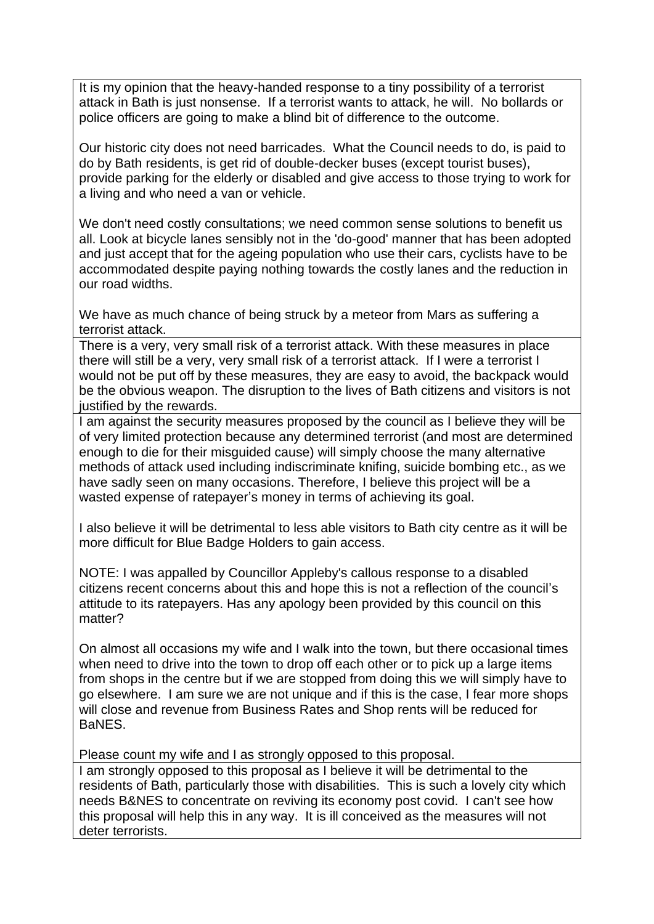It is my opinion that the heavy-handed response to a tiny possibility of a terrorist attack in Bath is just nonsense. If a terrorist wants to attack, he will. No bollards or police officers are going to make a blind bit of difference to the outcome.

Our historic city does not need barricades. What the Council needs to do, is paid to do by Bath residents, is get rid of double-decker buses (except tourist buses), provide parking for the elderly or disabled and give access to those trying to work for a living and who need a van or vehicle.

We don't need costly consultations; we need common sense solutions to benefit us all. Look at bicycle lanes sensibly not in the 'do-good' manner that has been adopted and just accept that for the ageing population who use their cars, cyclists have to be accommodated despite paying nothing towards the costly lanes and the reduction in our road widths.

We have as much chance of being struck by a meteor from Mars as suffering a terrorist attack.

There is a very, very small risk of a terrorist attack. With these measures in place there will still be a very, very small risk of a terrorist attack. If I were a terrorist I would not be put off by these measures, they are easy to avoid, the backpack would be the obvious weapon. The disruption to the lives of Bath citizens and visitors is not justified by the rewards.

I am against the security measures proposed by the council as I believe they will be of very limited protection because any determined terrorist (and most are determined enough to die for their misguided cause) will simply choose the many alternative methods of attack used including indiscriminate knifing, suicide bombing etc., as we have sadly seen on many occasions. Therefore, I believe this project will be a wasted expense of ratepayer's money in terms of achieving its goal.

I also believe it will be detrimental to less able visitors to Bath city centre as it will be more difficult for Blue Badge Holders to gain access.

NOTE: I was appalled by Councillor Appleby's callous response to a disabled citizens recent concerns about this and hope this is not a reflection of the council's attitude to its ratepayers. Has any apology been provided by this council on this matter?

On almost all occasions my wife and I walk into the town, but there occasional times when need to drive into the town to drop off each other or to pick up a large items from shops in the centre but if we are stopped from doing this we will simply have to go elsewhere. I am sure we are not unique and if this is the case, I fear more shops will close and revenue from Business Rates and Shop rents will be reduced for BaNES.

Please count my wife and I as strongly opposed to this proposal.

I am strongly opposed to this proposal as I believe it will be detrimental to the residents of Bath, particularly those with disabilities. This is such a lovely city which needs B&NES to concentrate on reviving its economy post covid. I can't see how this proposal will help this in any way. It is ill conceived as the measures will not deter terrorists.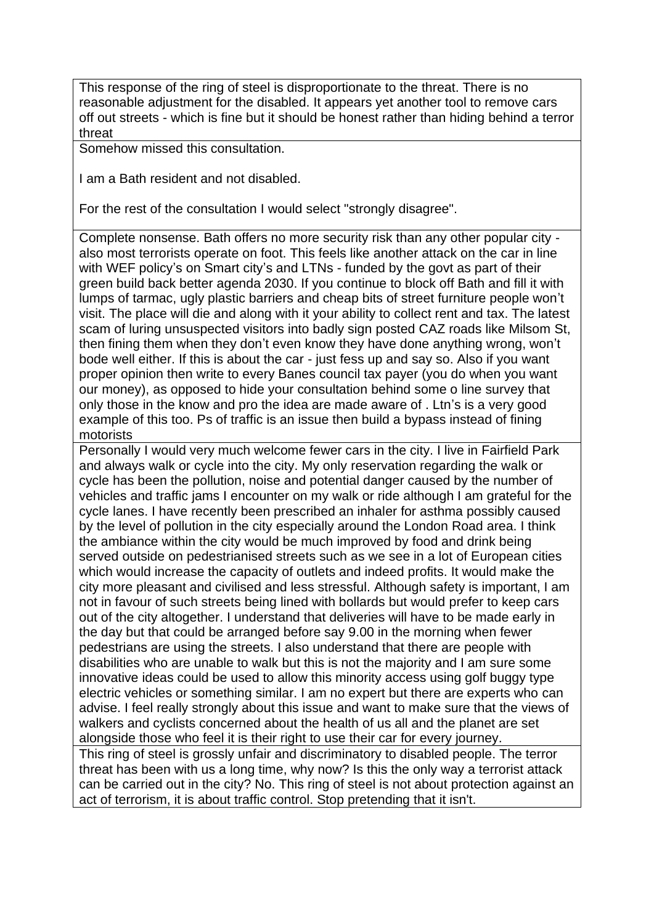This response of the ring of steel is disproportionate to the threat. There is no reasonable adjustment for the disabled. It appears yet another tool to remove cars off out streets - which is fine but it should be honest rather than hiding behind a terror threat

Somehow missed this consultation.

I am a Bath resident and not disabled.

For the rest of the consultation I would select "strongly disagree".

Complete nonsense. Bath offers no more security risk than any other popular city also most terrorists operate on foot. This feels like another attack on the car in line with WEF policy's on Smart city's and LTNs - funded by the govt as part of their green build back better agenda 2030. If you continue to block off Bath and fill it with lumps of tarmac, ugly plastic barriers and cheap bits of street furniture people won't visit. The place will die and along with it your ability to collect rent and tax. The latest scam of luring unsuspected visitors into badly sign posted CAZ roads like Milsom St, then fining them when they don't even know they have done anything wrong, won't bode well either. If this is about the car - just fess up and say so. Also if you want proper opinion then write to every Banes council tax payer (you do when you want our money), as opposed to hide your consultation behind some o line survey that only those in the know and pro the idea are made aware of . Ltn's is a very good example of this too. Ps of traffic is an issue then build a bypass instead of fining motorists

Personally I would very much welcome fewer cars in the city. I live in Fairfield Park and always walk or cycle into the city. My only reservation regarding the walk or cycle has been the pollution, noise and potential danger caused by the number of vehicles and traffic jams I encounter on my walk or ride although I am grateful for the cycle lanes. I have recently been prescribed an inhaler for asthma possibly caused by the level of pollution in the city especially around the London Road area. I think the ambiance within the city would be much improved by food and drink being served outside on pedestrianised streets such as we see in a lot of European cities which would increase the capacity of outlets and indeed profits. It would make the city more pleasant and civilised and less stressful. Although safety is important, I am not in favour of such streets being lined with bollards but would prefer to keep cars out of the city altogether. I understand that deliveries will have to be made early in the day but that could be arranged before say 9.00 in the morning when fewer pedestrians are using the streets. I also understand that there are people with disabilities who are unable to walk but this is not the majority and I am sure some innovative ideas could be used to allow this minority access using golf buggy type electric vehicles or something similar. I am no expert but there are experts who can advise. I feel really strongly about this issue and want to make sure that the views of walkers and cyclists concerned about the health of us all and the planet are set alongside those who feel it is their right to use their car for every journey. This ring of steel is grossly unfair and discriminatory to disabled people. The terror

threat has been with us a long time, why now? Is this the only way a terrorist attack can be carried out in the city? No. This ring of steel is not about protection against an act of terrorism, it is about traffic control. Stop pretending that it isn't.